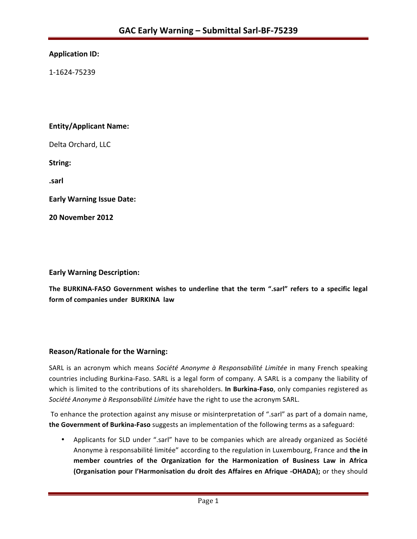## **Application ID:**

1-1624-75239 

## **Entity/Applicant Name:**

Delta Orchard, LLC

**String:** 

**.sarl**

**Early Warning Issue Date:** 

**20 November 2012**

### **Early Warning Description:**

The BURKINA-FASO Government wishes to underline that the term ".sarl" refers to a specific legal **form of companies under BURKINA law** 

## **Reason/Rationale for the Warning:**

SARL is an acronym which means Société Anonyme à Responsabilité Limitée in many French speaking countries including Burkina-Faso. SARL is a legal form of company. A SARL is a company the liability of which is limited to the contributions of its shareholders. In Burkina-Faso, only companies registered as Société Anonyme à Responsabilité Limitée have the right to use the acronym SARL.

To enhance the protection against any misuse or misinterpretation of ".sarl" as part of a domain name, the Government of Burkina-Faso suggests an implementation of the following terms as a safeguard:

• Applicants for SLD under ".sarl" have to be companies which are already organized as Société Anonyme à responsabilité limitée" according to the regulation in Luxembourg, France and the in member countries of the Organization for the Harmonization of Business Law in Africa **(Organisation pour l'Harmonisation du droit des Affaires en Afrique -OHADA);** or they should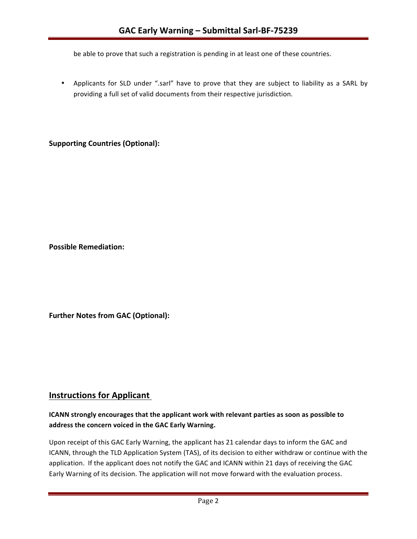be able to prove that such a registration is pending in at least one of these countries.

• Applicants for SLD under ".sarl" have to prove that they are subject to liability as a SARL by providing a full set of valid documents from their respective jurisdiction.

**Supporting Countries (Optional):** 

**Possible Remediation:**

**Further Notes from GAC (Optional):** 

# **Instructions for Applicant**

## **ICANN** strongly encourages that the applicant work with relevant parties as soon as possible to address the concern voiced in the GAC Early Warning.

Upon receipt of this GAC Early Warning, the applicant has 21 calendar days to inform the GAC and ICANN, through the TLD Application System (TAS), of its decision to either withdraw or continue with the application. If the applicant does not notify the GAC and ICANN within 21 days of receiving the GAC Early Warning of its decision. The application will not move forward with the evaluation process.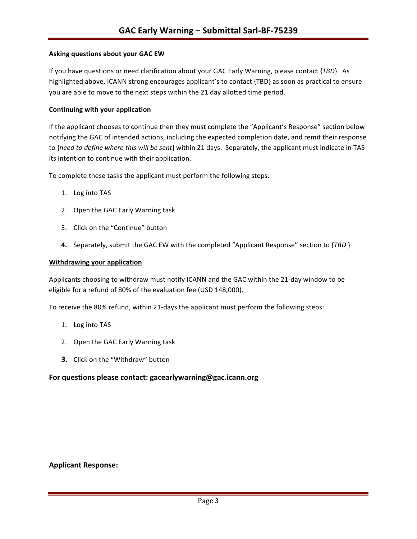#### **Asking questions about your GAC EW**

If you have questions or need clarification about your GAC Early Warning, please contact {*TBD*}. As highlighted above, ICANN strong encourages applicant's to contact {TBD} as soon as practical to ensure you are able to move to the next steps within the 21 day allotted time period.

#### **Continuing with your application**

If the applicant chooses to continue then they must complete the "Applicant's Response" section below notifying the GAC of intended actions, including the expected completion date, and remit their response to {need to define where this will be sent} within 21 days. Separately, the applicant must indicate in TAS its intention to continue with their application.

To complete these tasks the applicant must perform the following steps:

- 1. Log into TAS
- 2. Open the GAC Early Warning task
- 3. Click on the "Continue" button
- **4.** Separately, submit the GAC EW with the completed "Applicant Response" section to {*TBD* }

#### **Withdrawing your application**

Applicants choosing to withdraw must notify ICANN and the GAC within the 21-day window to be eligible for a refund of 80% of the evaluation fee (USD 148,000).

To receive the 80% refund, within 21-days the applicant must perform the following steps:

- 1. Log into TAS
- 2. Open the GAC Early Warning task
- **3.** Click on the "Withdraw" button

#### For questions please contact: gacearlywarning@gac.icann.org

#### **Applicant Response:**